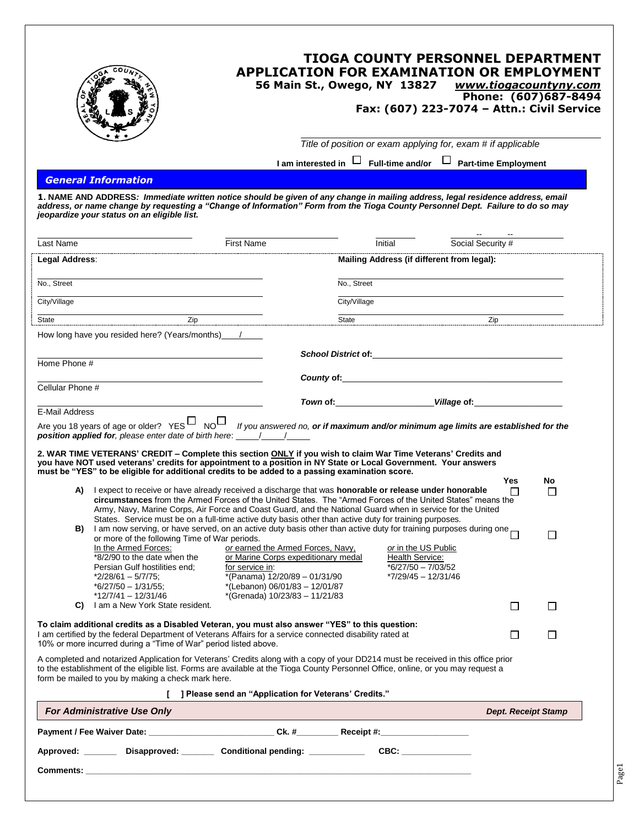|                                                                                                                                                                                                                                                                                                                                                                                                                                                                                                                                                     |                                                                                                                                                                | <b>TIOGA COUNTY PERSONNEL DEPARTMENT</b><br><b>APPLICATION FOR EXAMINATION OR EMPLOYMENT</b><br>56 Main St., Owego, NY 13827 | www.tiogacountyny.com<br>Fax: (607) 223-7074 - Attn.: Civil Service | Phone: (607)687-8494       |
|-----------------------------------------------------------------------------------------------------------------------------------------------------------------------------------------------------------------------------------------------------------------------------------------------------------------------------------------------------------------------------------------------------------------------------------------------------------------------------------------------------------------------------------------------------|----------------------------------------------------------------------------------------------------------------------------------------------------------------|------------------------------------------------------------------------------------------------------------------------------|---------------------------------------------------------------------|----------------------------|
|                                                                                                                                                                                                                                                                                                                                                                                                                                                                                                                                                     |                                                                                                                                                                | Title of position or exam applying for, exam # if applicable                                                                 |                                                                     |                            |
|                                                                                                                                                                                                                                                                                                                                                                                                                                                                                                                                                     |                                                                                                                                                                | I am interested in $\Box$ Full-time and/or $\Box$ Part-time Employment                                                       |                                                                     |                            |
| <b>General Information</b><br>1. NAME AND ADDRESS: Immediate written notice should be given of any change in mailing address, legal residence address, email<br>address, or name change by requesting a "Change of Information" Form from the Tioga County Personnel Dept. Failure to do so may<br>jeopardize your status on an eligible list.                                                                                                                                                                                                      |                                                                                                                                                                |                                                                                                                              |                                                                     |                            |
| Last Name                                                                                                                                                                                                                                                                                                                                                                                                                                                                                                                                           | <b>First Name</b>                                                                                                                                              | Initial                                                                                                                      | Social Security #                                                   |                            |
| Legal Address:                                                                                                                                                                                                                                                                                                                                                                                                                                                                                                                                      |                                                                                                                                                                | Mailing Address (if different from legal):                                                                                   |                                                                     |                            |
| No., Street                                                                                                                                                                                                                                                                                                                                                                                                                                                                                                                                         |                                                                                                                                                                | No., Street                                                                                                                  |                                                                     |                            |
| City/Village                                                                                                                                                                                                                                                                                                                                                                                                                                                                                                                                        |                                                                                                                                                                | City/Village                                                                                                                 |                                                                     |                            |
| Zip<br>State                                                                                                                                                                                                                                                                                                                                                                                                                                                                                                                                        |                                                                                                                                                                | State                                                                                                                        | Zip                                                                 |                            |
| How long have you resided here? (Years/months) /                                                                                                                                                                                                                                                                                                                                                                                                                                                                                                    |                                                                                                                                                                |                                                                                                                              |                                                                     |                            |
| Home Phone #                                                                                                                                                                                                                                                                                                                                                                                                                                                                                                                                        |                                                                                                                                                                |                                                                                                                              |                                                                     |                            |
| Cellular Phone #                                                                                                                                                                                                                                                                                                                                                                                                                                                                                                                                    |                                                                                                                                                                | County of: <u>county of:</u>                                                                                                 |                                                                     |                            |
| <b>E-Mail Address</b>                                                                                                                                                                                                                                                                                                                                                                                                                                                                                                                               |                                                                                                                                                                | Town of: _______________________________Village of: ____________________________                                             |                                                                     |                            |
| Are you 18 years of age or older? YES $\Box$ NO If you answered no, or if maximum and/or minimum age limits are established for the<br><b>position applied for</b> , please enter date of birth here: 11/1/1<br>2. WAR TIME VETERANS' CREDIT – Complete this section ONLY if you wish to claim War Time Veterans' Credits and<br>you have NOT used veterans' credits for appointment to a position in NY State or Local Government. Your answers<br>must be "YES" to be eligible for additional credits to be added to a passing examination score. |                                                                                                                                                                |                                                                                                                              |                                                                     |                            |
| A) lexpect to receive or have already received a discharge that was <b>honorable or release under honorable</b><br>circumstances from the Armed Forces of the United States. The "Armed Forces of the United States" means the<br>Army, Navy, Marine Corps, Air Force and Coast Guard, and the National Guard when in service for the United<br>States. Service must be on a full-time active duty basis other than active duty for training purposes.                                                                                              |                                                                                                                                                                |                                                                                                                              | Yes<br>$\mathbf{I}$                                                 | No                         |
| I am now serving, or have served, on an active duty basis other than active duty for training purposes during one<br>B)<br>or more of the following Time of War periods.<br>In the Armed Forces:<br>*8/2/90 to the date when the<br>Persian Gulf hostilities end:<br>$*2/28/61 - 5/7/75;$<br>$*6/27/50 - 1/31/55;$                                                                                                                                                                                                                                  | or earned the Armed Forces, Navy,<br>or Marine Corps expeditionary medal<br>for service in:<br>*(Panama) 12/20/89 - 01/31/90<br>*(Lebanon) 06/01/83 - 12/01/87 | or in the US Public<br>Health Service:<br>$*6/27/50 - 7/03/52$<br>*7/29/45 - 12/31/46                                        |                                                                     | □                          |
| $*12/7/41 - 12/31/46$<br>I am a New York State resident.<br>C)                                                                                                                                                                                                                                                                                                                                                                                                                                                                                      | *(Grenada) 10/23/83 - 11/21/83                                                                                                                                 |                                                                                                                              | $\Box$                                                              | $\Box$                     |
| To claim additional credits as a Disabled Veteran, you must also answer "YES" to this question:<br>I am certified by the federal Department of Veterans Affairs for a service connected disability rated at<br>10% or more incurred during a "Time of War" period listed above.                                                                                                                                                                                                                                                                     |                                                                                                                                                                |                                                                                                                              | $\Box$                                                              | $\Box$                     |
| A completed and notarized Application for Veterans' Credits along with a copy of your DD214 must be received in this office prior<br>to the establishment of the eligible list. Forms are available at the Tioga County Personnel Office, online, or you may request a<br>form be mailed to you by making a check mark here.                                                                                                                                                                                                                        |                                                                                                                                                                |                                                                                                                              |                                                                     |                            |
|                                                                                                                                                                                                                                                                                                                                                                                                                                                                                                                                                     | [ ] Please send an "Application for Veterans' Credits."                                                                                                        |                                                                                                                              |                                                                     |                            |
| <b>For Administrative Use Only</b>                                                                                                                                                                                                                                                                                                                                                                                                                                                                                                                  |                                                                                                                                                                |                                                                                                                              |                                                                     | <b>Dept. Receipt Stamp</b> |
| Payment / Fee Waiver Date: ______________________________Ck. #____________Receipt #:________________                                                                                                                                                                                                                                                                                                                                                                                                                                                |                                                                                                                                                                |                                                                                                                              |                                                                     |                            |
| Approved: ________ Disapproved: ________ Conditional pending: ____________ CBC: ____________                                                                                                                                                                                                                                                                                                                                                                                                                                                        |                                                                                                                                                                |                                                                                                                              |                                                                     |                            |
|                                                                                                                                                                                                                                                                                                                                                                                                                                                                                                                                                     |                                                                                                                                                                |                                                                                                                              |                                                                     |                            |

Page1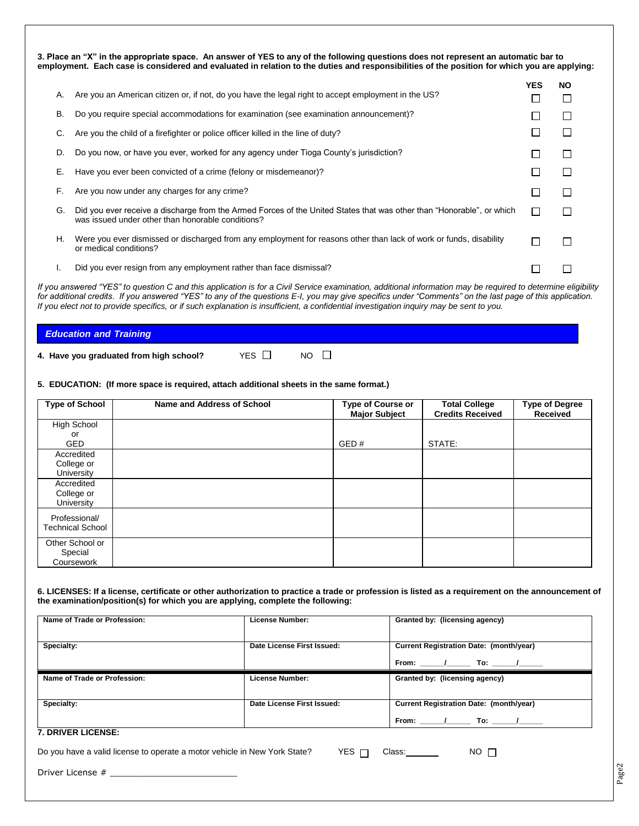|           | 3. Place an "X" in the appropriate space. An answer of YES to any of the following questions does not represent an automatic bar to<br>employment. Each case is considered and evaluated in relation to the duties and responsibilities of the position for which you are applying: |              |              |
|-----------|-------------------------------------------------------------------------------------------------------------------------------------------------------------------------------------------------------------------------------------------------------------------------------------|--------------|--------------|
| А.        | Are you an American citizen or, if not, do you have the legal right to accept employment in the US?                                                                                                                                                                                 | <b>YES</b>   | <b>NO</b>    |
| <b>B.</b> | Do you require special accommodations for examination (see examination announcement)?                                                                                                                                                                                               |              |              |
|           | Are you the child of a firefighter or police officer killed in the line of duty?                                                                                                                                                                                                    |              |              |
| D.        | Do you now, or have you ever, worked for any agency under Tioga County's jurisdiction?                                                                                                                                                                                              |              | $\mathsf{I}$ |
| Е.        | Have you ever been convicted of a crime (felony or misdemeanor)?                                                                                                                                                                                                                    |              |              |
| F.        | Are you now under any charges for any crime?                                                                                                                                                                                                                                        |              |              |
| G.        | Did you ever receive a discharge from the Armed Forces of the United States that was other than "Honorable", or which<br>was issued under other than honorable conditions?                                                                                                          | $\mathbf{I}$ |              |
| Н.        | Were you ever dismissed or discharged from any employment for reasons other than lack of work or funds, disability<br>or medical conditions?                                                                                                                                        |              |              |
|           | Did you ever resign from any employment rather than face dismissal?                                                                                                                                                                                                                 |              |              |

*If you answered "YES" to question C and this application is for a Civil Service examination, additional information may be required to determine eligibility for additional credits. If you answered "YES" to any of the questions E-I, you may give specifics under "Comments" on the last page of this application. If you elect not to provide specifics, or if such explanation is insufficient, a confidential investigation inquiry may be sent to you.*

## *Education and Training*

**4. Have you graduated from high school?** YES  $\Box$  NO  $\Box$ 

## **5. EDUCATION: (If more space is required, attach additional sheets in the same format.)**

| <b>Type of School</b>   | Name and Address of School | <b>Type of Course or</b><br><b>Major Subject</b> | <b>Total College</b><br><b>Credits Received</b> | <b>Type of Degree</b><br><b>Received</b> |
|-------------------------|----------------------------|--------------------------------------------------|-------------------------------------------------|------------------------------------------|
| High School             |                            |                                                  |                                                 |                                          |
| or                      |                            |                                                  |                                                 |                                          |
| <b>GED</b>              |                            | GED#                                             | STATE:                                          |                                          |
| Accredited              |                            |                                                  |                                                 |                                          |
| College or              |                            |                                                  |                                                 |                                          |
| University              |                            |                                                  |                                                 |                                          |
| Accredited              |                            |                                                  |                                                 |                                          |
| College or              |                            |                                                  |                                                 |                                          |
| University              |                            |                                                  |                                                 |                                          |
| Professional/           |                            |                                                  |                                                 |                                          |
| <b>Technical School</b> |                            |                                                  |                                                 |                                          |
|                         |                            |                                                  |                                                 |                                          |
| Other School or         |                            |                                                  |                                                 |                                          |
| Special                 |                            |                                                  |                                                 |                                          |
| Coursework              |                            |                                                  |                                                 |                                          |

**6. LICENSES: If a license, certificate or other authorization to practice a trade or profession is listed as a requirement on the announcement of the examination/position(s) for which you are applying, complete the following:**

| Name of Trade or Profession:                                              | License Number:            | Granted by: (licensing agency)                                                             |
|---------------------------------------------------------------------------|----------------------------|--------------------------------------------------------------------------------------------|
| Specialty:                                                                | Date License First Issued: | <b>Current Registration Date: (month/year)</b>                                             |
| Name of Trade or Profession:                                              | License Number:            | Granted by: (licensing agency)                                                             |
| Specialty:                                                                | Date License First Issued: | Current Registration Date: (month/year)<br>From: _______/____________ To: _______/________ |
| 7. DRIVER LICENSE:                                                        |                            |                                                                                            |
| Do you have a valid license to operate a motor vehicle in New York State? | YES $\Box$                 | Class:_______<br>$NO$ $\Box$                                                               |

Driver License # \_\_\_\_\_\_\_\_\_\_\_\_\_\_\_\_\_\_\_\_\_\_\_\_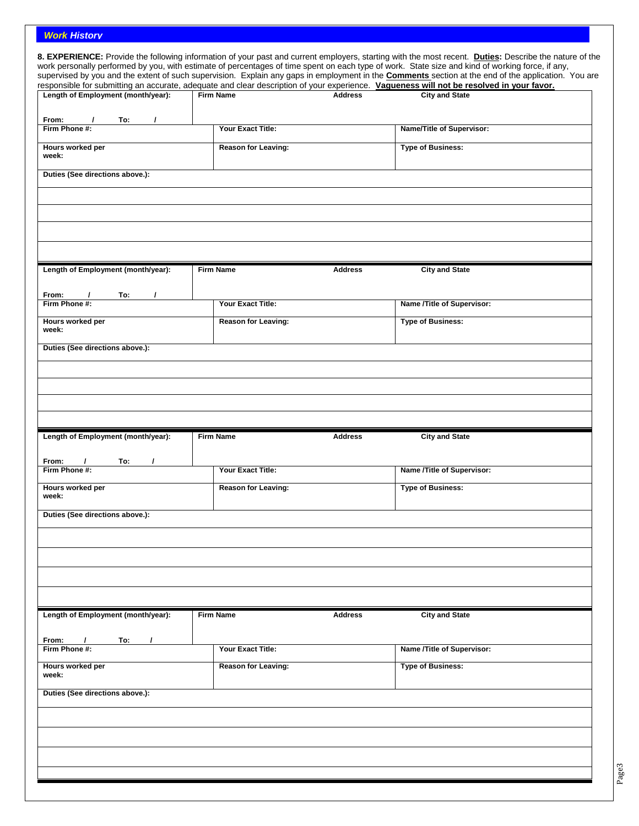## *Work History*

|                                                                                                                                                                                                               |                            |                | supervised by you and the extent of such supervision. Explain any gaps in employment in the <b>Comments</b> section at the end of the application. You are        |
|---------------------------------------------------------------------------------------------------------------------------------------------------------------------------------------------------------------|----------------------------|----------------|-------------------------------------------------------------------------------------------------------------------------------------------------------------------|
| Length of Employment (month/year):                                                                                                                                                                            | <b>Firm Name</b>           | <b>Address</b> | responsible for submitting an accurate, adequate and clear description of your experience. Vagueness will not be resolved in your favor.<br><b>City and State</b> |
|                                                                                                                                                                                                               |                            |                |                                                                                                                                                                   |
| From:<br>To:<br>$\prime$<br>Firm Phone #:                                                                                                                                                                     | Your Exact Title:          |                | Name/Title of Supervisor:                                                                                                                                         |
| Hours worked per<br>week:                                                                                                                                                                                     | <b>Reason for Leaving:</b> |                | <b>Type of Business:</b>                                                                                                                                          |
| Duties (See directions above.):                                                                                                                                                                               |                            |                |                                                                                                                                                                   |
|                                                                                                                                                                                                               |                            |                |                                                                                                                                                                   |
| Length of Employment (month/year):                                                                                                                                                                            | <b>Firm Name</b>           | <b>Address</b> | <b>City and State</b>                                                                                                                                             |
| From:<br>To:<br>$\prime$                                                                                                                                                                                      |                            |                |                                                                                                                                                                   |
| Firm Phone #:                                                                                                                                                                                                 | Your Exact Title:          |                | Name /Title of Supervisor:                                                                                                                                        |
| Hours worked per<br>week:                                                                                                                                                                                     | <b>Reason for Leaving:</b> |                | <b>Type of Business:</b>                                                                                                                                          |
| Duties (See directions above.):                                                                                                                                                                               |                            |                |                                                                                                                                                                   |
|                                                                                                                                                                                                               |                            |                |                                                                                                                                                                   |
|                                                                                                                                                                                                               |                            |                |                                                                                                                                                                   |
|                                                                                                                                                                                                               |                            |                |                                                                                                                                                                   |
|                                                                                                                                                                                                               |                            |                |                                                                                                                                                                   |
|                                                                                                                                                                                                               |                            |                |                                                                                                                                                                   |
| Length of Employment (month/year):                                                                                                                                                                            | <b>Firm Name</b>           | <b>Address</b> | <b>City and State</b>                                                                                                                                             |
| From:<br>To:                                                                                                                                                                                                  |                            |                |                                                                                                                                                                   |
|                                                                                                                                                                                                               |                            |                |                                                                                                                                                                   |
|                                                                                                                                                                                                               | Your Exact Title:          |                | Name /Title of Supervisor:                                                                                                                                        |
|                                                                                                                                                                                                               | <b>Reason for Leaving:</b> |                | <b>Type of Business:</b>                                                                                                                                          |
|                                                                                                                                                                                                               |                            |                |                                                                                                                                                                   |
|                                                                                                                                                                                                               |                            |                |                                                                                                                                                                   |
|                                                                                                                                                                                                               |                            |                |                                                                                                                                                                   |
|                                                                                                                                                                                                               |                            |                |                                                                                                                                                                   |
|                                                                                                                                                                                                               |                            |                |                                                                                                                                                                   |
|                                                                                                                                                                                                               |                            |                |                                                                                                                                                                   |
|                                                                                                                                                                                                               |                            |                |                                                                                                                                                                   |
|                                                                                                                                                                                                               | <b>Firm Name</b>           | <b>Address</b> | <b>City and State</b>                                                                                                                                             |
|                                                                                                                                                                                                               |                            |                |                                                                                                                                                                   |
| To:<br>$\prime$<br>$\prime$                                                                                                                                                                                   |                            |                |                                                                                                                                                                   |
|                                                                                                                                                                                                               | Your Exact Title:          |                | Name /Title of Supervisor:                                                                                                                                        |
|                                                                                                                                                                                                               | <b>Reason for Leaving:</b> |                | <b>Type of Business:</b>                                                                                                                                          |
|                                                                                                                                                                                                               |                            |                |                                                                                                                                                                   |
|                                                                                                                                                                                                               |                            |                |                                                                                                                                                                   |
| Firm Phone #:<br>Hours worked per<br>week:<br>Duties (See directions above.):<br>Length of Employment (month/year):<br>From:<br>Firm Phone #:<br>Hours worked per<br>week:<br>Duties (See directions above.): |                            |                |                                                                                                                                                                   |
|                                                                                                                                                                                                               |                            |                |                                                                                                                                                                   |
|                                                                                                                                                                                                               |                            |                |                                                                                                                                                                   |